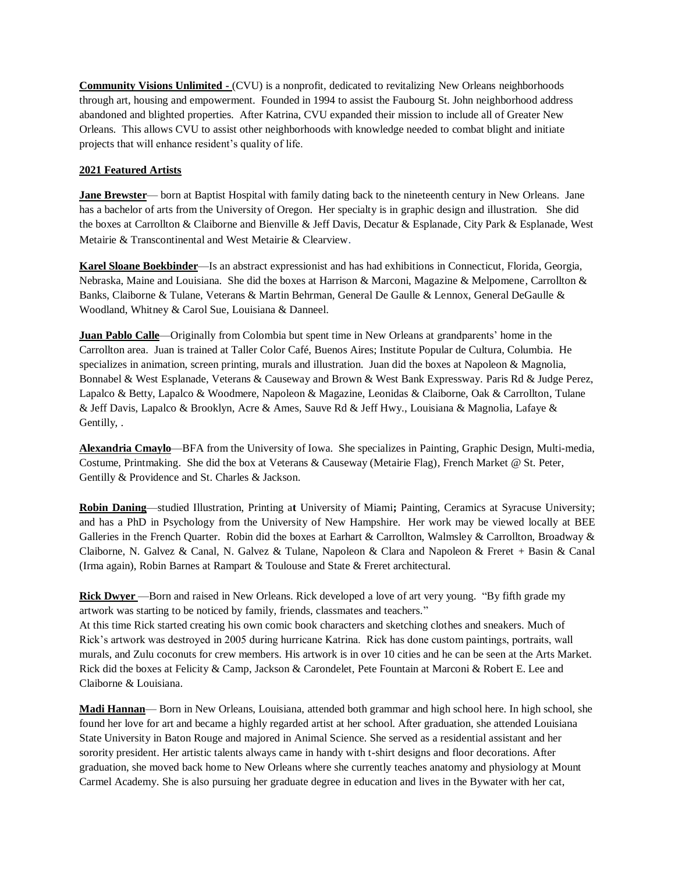**Community Visions Unlimited -** (CVU) is a nonprofit, dedicated to revitalizing New Orleans neighborhoods through art, housing and empowerment. Founded in 1994 to assist the Faubourg St. John neighborhood address abandoned and blighted properties. After Katrina, CVU expanded their mission to include all of Greater New Orleans. This allows CVU to assist other neighborhoods with knowledge needed to combat blight and initiate projects that will enhance resident's quality of life.

## **2021 Featured Artists**

**Jane Brewster**— born at Baptist Hospital with family dating back to the nineteenth century in New Orleans. Jane has a bachelor of arts from the University of Oregon. Her specialty is in graphic design and illustration. She did the boxes at Carrollton & Claiborne and Bienville & Jeff Davis, Decatur & Esplanade, City Park & Esplanade, West Metairie & Transcontinental and West Metairie & Clearview.

**Karel Sloane Boekbinder**—Is an abstract expressionist and has had exhibitions in Connecticut, Florida, Georgia, Nebraska, Maine and Louisiana. She did the boxes at Harrison & Marconi, Magazine & Melpomene, Carrollton & Banks, Claiborne & Tulane, Veterans & Martin Behrman, General De Gaulle & Lennox, General DeGaulle & Woodland, Whitney & Carol Sue, Louisiana & Danneel.

**Juan Pablo Calle**—Originally from Colombia but spent time in New Orleans at grandparents' home in the Carrollton area. Juan is trained at Taller Color Café, Buenos Aires; Institute Popular de Cultura, Columbia. He specializes in animation, screen printing, murals and illustration. Juan did the boxes at Napoleon & Magnolia, Bonnabel & West Esplanade, Veterans & Causeway and Brown & West Bank Expressway. Paris Rd & Judge Perez, Lapalco & Betty, Lapalco & Woodmere, Napoleon & Magazine, Leonidas & Claiborne, Oak & Carrollton, Tulane & Jeff Davis, Lapalco & Brooklyn, Acre & Ames, Sauve Rd & Jeff Hwy., Louisiana & Magnolia, Lafaye & Gentilly, .

**Alexandria Cmaylo**—BFA from the University of Iowa. She specializes in Painting, Graphic Design, Multi-media, Costume, Printmaking. She did the box at Veterans & Causeway (Metairie Flag), French Market @ St. Peter, Gentilly & Providence and St. Charles & Jackson.

**Robin Daning**—studied Illustration, Printing a**t** University of Miami**;** Painting, Ceramics at Syracuse University; and has a PhD in Psychology from the University of New Hampshire. Her work may be viewed locally at BEE Galleries in the French Quarter. Robin did the boxes at Earhart & Carrollton, Walmsley & Carrollton, Broadway & Claiborne, N. Galvez & Canal, N. Galvez & Tulane, Napoleon & Clara and Napoleon & Freret + Basin & Canal (Irma again), Robin Barnes at Rampart & Toulouse and State & Freret architectural.

**Rick Dwyer** —Born and raised in New Orleans. Rick developed a love of art very young. "By fifth grade my artwork was starting to be noticed by family, friends, classmates and teachers."

At this time Rick started creating his own comic book characters and sketching clothes and sneakers. Much of Rick's artwork was destroyed in 2005 during hurricane Katrina. Rick has done custom paintings, portraits, wall murals, and Zulu coconuts for crew members. His artwork is in over 10 cities and he can be seen at the Arts Market. Rick did the boxes at Felicity & Camp, Jackson & Carondelet, Pete Fountain at Marconi & Robert E. Lee and Claiborne & Louisiana.

**Madi Hannan**— Born in New Orleans, Louisiana, attended both grammar and high school here. In high school, she found her love for art and became a highly regarded artist at her school. After graduation, she attended Louisiana State University in Baton Rouge and majored in Animal Science. She served as a residential assistant and her sorority president. Her artistic talents always came in handy with t-shirt designs and floor decorations. After graduation, she moved back home to New Orleans where she currently teaches anatomy and physiology at Mount Carmel Academy. She is also pursuing her graduate degree in education and lives in the Bywater with her cat,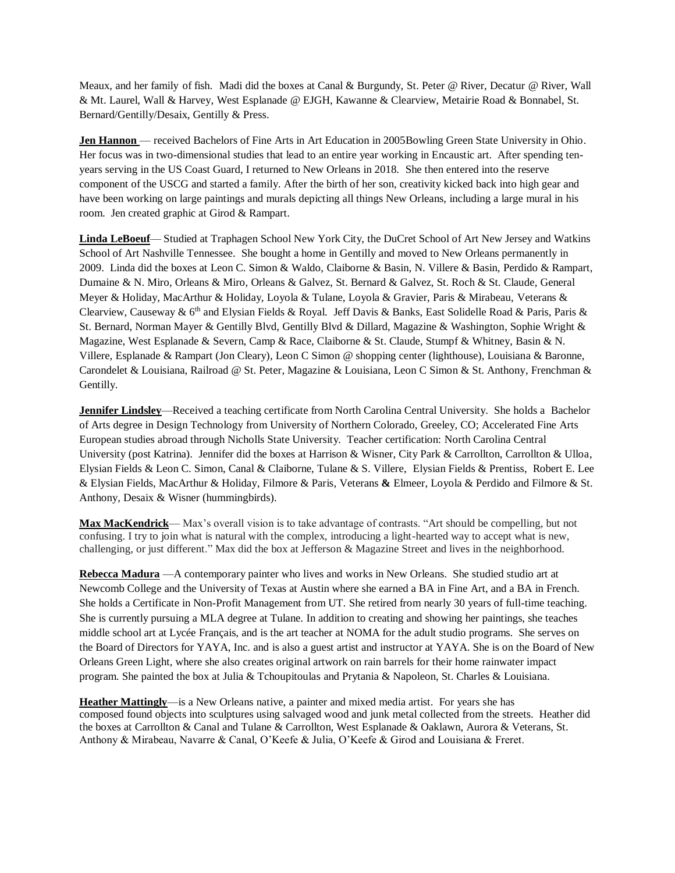Meaux, and her family of fish. Madi did the boxes at Canal & Burgundy, St. Peter @ River, Decatur @ River, Wall & Mt. Laurel, Wall & Harvey, West Esplanade @ EJGH, Kawanne & Clearview, Metairie Road & Bonnabel, St. Bernard/Gentilly/Desaix, Gentilly & Press.

**Jen Hannon** — received Bachelors of Fine Arts in Art Education in 2005Bowling Green State University in Ohio. Her focus was in two-dimensional studies that lead to an entire year working in Encaustic art. After spending tenyears serving in the US Coast Guard, I returned to New Orleans in 2018. She then entered into the reserve component of the USCG and started a family. After the birth of her son, creativity kicked back into high gear and have been working on large paintings and murals depicting all things New Orleans, including a large mural in his room. Jen created graphic at Girod & Rampart.

**Linda LeBoeuf**— Studied at Traphagen School New York City, the DuCret School of Art New Jersey and Watkins School of Art Nashville Tennessee. She bought a home in Gentilly and moved to New Orleans permanently in 2009. Linda did the boxes at Leon C. Simon & Waldo, Claiborne & Basin, N. Villere & Basin, Perdido & Rampart, Dumaine & N. Miro, Orleans & Miro, Orleans & Galvez, St. Bernard & Galvez, St. Roch & St. Claude, General Meyer & Holiday, MacArthur & Holiday, Loyola & Tulane, Loyola & Gravier, Paris & Mirabeau, Veterans & Clearview, Causeway &  $6<sup>th</sup>$  and Elysian Fields & Royal. Jeff Davis & Banks, East Solidelle Road & Paris, Paris & St. Bernard, Norman Mayer & Gentilly Blvd, Gentilly Blvd & Dillard, Magazine & Washington, Sophie Wright & Magazine, West Esplanade & Severn, Camp & Race, Claiborne & St. Claude, Stumpf & Whitney, Basin & N. Villere, Esplanade & Rampart (Jon Cleary), Leon C Simon @ shopping center (lighthouse), Louisiana & Baronne, Carondelet & Louisiana, Railroad @ St. Peter, Magazine & Louisiana, Leon C Simon & St. Anthony, Frenchman & Gentilly.

**Jennifer Lindsley**—Received a teaching certificate from North Carolina Central University. She holds a Bachelor of Arts degree in Design Technology from University of Northern Colorado, Greeley, CO; Accelerated Fine Arts European studies abroad through Nicholls State University. Teacher certification: North Carolina Central University (post Katrina). Jennifer did the boxes at Harrison & Wisner, City Park & Carrollton, Carrollton & Ulloa, Elysian Fields & Leon C. Simon, Canal & Claiborne, Tulane & S. Villere, Elysian Fields & Prentiss, Robert E. Lee & Elysian Fields, MacArthur & Holiday, Filmore & Paris, Veterans **&** Elmeer, Loyola & Perdido and Filmore & St. Anthony, Desaix & Wisner (hummingbirds).

**Max MacKendrick**— Max's overall vision is to take advantage of contrasts. "Art should be compelling, but not confusing. I try to join what is natural with the complex, introducing a light-hearted way to accept what is new, challenging, or just different." Max did the box at Jefferson & Magazine Street and lives in the neighborhood.

**Rebecca Madura** —A contemporary painter who lives and works in New Orleans. She studied studio art at Newcomb College and the University of Texas at Austin where she earned a BA in Fine Art, and a BA in French. She holds a Certificate in Non-Profit Management from UT. She retired from nearly 30 years of full-time teaching. She is currently pursuing a MLA degree at Tulane. In addition to creating and showing her paintings, she teaches middle school art at Lycée Français, and is the art teacher at NOMA for the adult studio programs. She serves on the Board of Directors for YAYA, Inc. and is also a guest artist and instructor at YAYA. She is on the Board of New Orleans Green Light, where she also creates original artwork on rain barrels for their home rainwater impact program. She painted the box at Julia & Tchoupitoulas and Prytania & Napoleon, St. Charles & Louisiana.

**Heather Mattingly**—is a New Orleans native, a painter and mixed media artist. For years she has composed found objects into sculptures using salvaged wood and junk metal collected from the streets. Heather did the boxes at Carrollton & Canal and Tulane & Carrollton, West Esplanade & Oaklawn, Aurora & Veterans, St. Anthony & Mirabeau, Navarre & Canal, O'Keefe & Julia, O'Keefe & Girod and Louisiana & Freret.